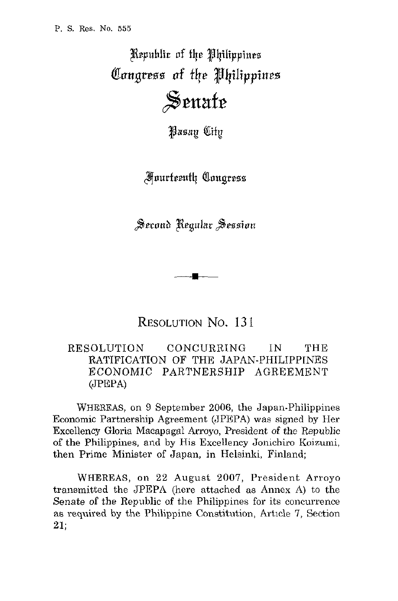Republic of the Philippines Congress of the Philippines Senate

**Wasay** City

**Anurteenth Congress** 

 $\overline{\phantom{a}}$ 

RESOLUTION NO. 13 I

## RRSOLUTION CONCURRING IN THE RATIFICATION OF THE JAPAN-PHILIPPINES ECONOMIC PARTNERSHIP AGREEMENT (JPEPA)

WHEREAS, on 9 September 2006, the Japan-Philippines Economic Partnership Agreement (JPEPA) was signed by Her Excellency Gloria Macapagal Arroyo, President *of* the Republic of the Philippines, and by His Excellency Jonichiro Koizumi, then Prime Minister of Japan, in Helsinki, Finland;

WHEREAS, on 22 August 2007, President Arroyo transmitted the JPEPA (here attached as Annex A) to the Senate of the Republic of the Philippines for its concurrence as required by the Philippine Constitution, Article 7, Section **21;**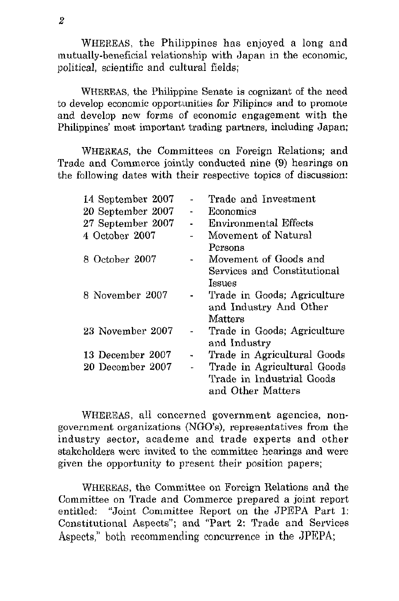WHEREAS, the Philippines has enjoyed a long and mutually-beneficial relationship with Japan in the economic, political, scientific and cultural fields;

WHEREAS, the Philippine Senate is cognizant of the need to develop economic opportunities for Filipinos and to promote and develop new forms of economic engagement with the Philippines' most important trading partners, including Japan:

WHEREAS, the Committees on Foreign Relations; and Trade and Commerce jointly conducted nine **(9)** hearings on the following dates with their respective topics of discussion:

| 14 September 2007 |                | Trade and Investment        |
|-------------------|----------------|-----------------------------|
| 20 September 2007 | $\blacksquare$ | Economics                   |
| 27 September 2007 |                | Environmental Effects       |
| 4 October 2007    |                | Movement of Natural         |
|                   |                | Persons                     |
| 8 October 2007    |                | Movement of Goods and       |
|                   |                | Services and Constitutional |
|                   |                | Issues                      |
| 8 November 2007   |                | Trade in Goods; Agriculture |
|                   |                | and Industry And Other      |
|                   |                | Matters                     |
| 23 November 2007  |                | Trade in Goods; Agriculture |
|                   |                | and Industry                |
| 13 December 2007  | ٠              | Trade in Agricultural Goods |
| 20 December 2007  |                | Trade in Agricultural Goods |
|                   |                | Trade in Industrial Goods   |
|                   |                | and Other Matters           |
|                   |                |                             |

WIIEREAS, all concerned government agencies, nongovernment organizations (NGO's), representatives from the industry sector, academe and trade experts and other stakeholders were invited to the committee hearings and were given the opportunity to present their position papers;

WHEREAS, the Committee on Foreign Relations and the Committee on Trade and Commerce prepared a joint report entitled: "Joint Committee Report on the JPEPA Part 1: Constitutional Aspects"; and "Part 2: Trade and Services Aspects," both recommending concurrence in the JPEPA